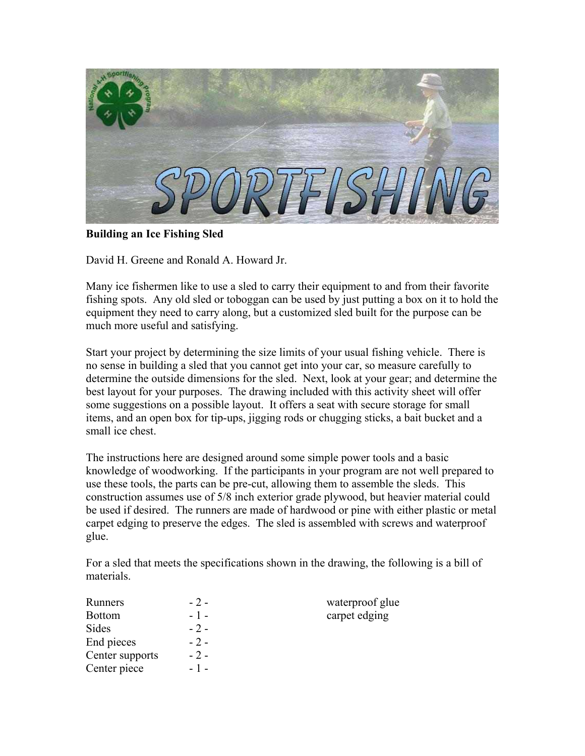

**Building an Ice Fishing Sled** 

David H. Greene and Ronald A. Howard Jr.

Many ice fishermen like to use a sled to carry their equipment to and from their favorite fishing spots. Any old sled or toboggan can be used by just putting a box on it to hold the equipment they need to carry along, but a customized sled built for the purpose can be much more useful and satisfying.

Start your project by determining the size limits of your usual fishing vehicle. There is no sense in building a sled that you cannot get into your car, so measure carefully to determine the outside dimensions for the sled. Next, look at your gear; and determine the best layout for your purposes. The drawing included with this activity sheet will offer some suggestions on a possible layout. It offers a seat with secure storage for small items, and an open box for tip-ups, jigging rods or chugging sticks, a bait bucket and a small ice chest.

The instructions here are designed around some simple power tools and a basic knowledge of woodworking. If the participants in your program are not well prepared to use these tools, the parts can be pre-cut, allowing them to assemble the sleds. This construction assumes use of 5/8 inch exterior grade plywood, but heavier material could be used if desired. The runners are made of hardwood or pine with either plastic or metal carpet edging to preserve the edges. The sled is assembled with screws and waterproof glue.

For a sled that meets the specifications shown in the drawing, the following is a bill of materials.

| Runners         | $-2-$ | waterproof glue |
|-----------------|-------|-----------------|
| <b>Bottom</b>   | $-1-$ | carpet edging   |
| Sides           | $-2-$ |                 |
| End pieces      | $-2-$ |                 |
| Center supports | $-2-$ |                 |
| Center piece    | $-1-$ |                 |